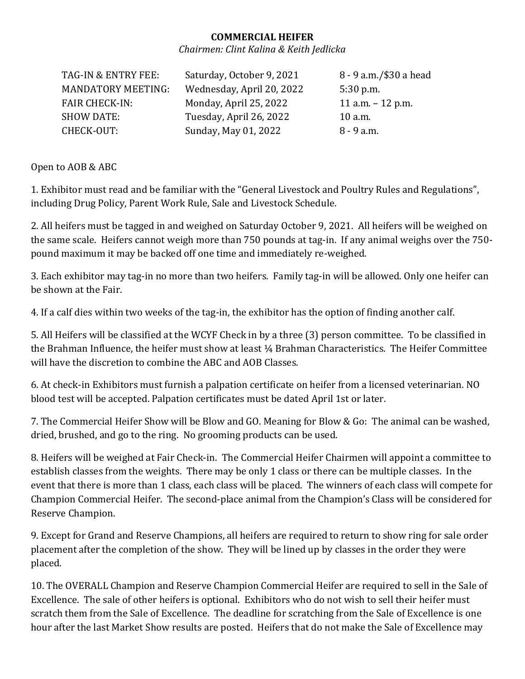## **COMMERCIAL HEIFER**

*Chairmen: Clint Kalina & Keith Jedlicka*

| TAG-IN & ENTRY FEE:       | Saturday, October 9, 2021 | 8 - 9 a.m./\$30 a head |
|---------------------------|---------------------------|------------------------|
| <b>MANDATORY MEETING:</b> | Wednesday, April 20, 2022 | $5:30$ p.m.            |
| <b>FAIR CHECK-IN:</b>     | Monday, April 25, 2022    | 11 a.m. $-$ 12 p.m.    |
| <b>SHOW DATE:</b>         | Tuesday, April 26, 2022   | $10$ a.m.              |
| CHECK-OUT:                | Sunday, May 01, 2022      | $8 - 9$ a.m.           |

Open to AOB & ABC

1. Exhibitor must read and be familiar with the "General Livestock and Poultry Rules and Regulations", including Drug Policy, Parent Work Rule, Sale and Livestock Schedule.

2. All heifers must be tagged in and weighed on Saturday October 9, 2021. All heifers will be weighed on the same scale. Heifers cannot weigh more than 750 pounds at tag-in. If any animal weighs over the 750 pound maximum it may be backed off one time and immediately re-weighed.

3. Each exhibitor may tag-in no more than two heifers. Family tag-in will be allowed. Only one heifer can be shown at the Fair.

4. If a calf dies within two weeks of the tag-in, the exhibitor has the option of finding another calf.

5. All Heifers will be classified at the WCYF Check in by a three (3) person committee. To be classified in the Brahman Influence, the heifer must show at least ¼ Brahman Characteristics. The Heifer Committee will have the discretion to combine the ABC and AOB Classes.

6. At check-in Exhibitors must furnish a palpation certificate on heifer from a licensed veterinarian. NO blood test will be accepted. Palpation certificates must be dated April 1st or later.

7. The Commercial Heifer Show will be Blow and GO. Meaning for Blow & Go: The animal can be washed, dried, brushed, and go to the ring. No grooming products can be used.

8. Heifers will be weighed at Fair Check-in. The Commercial Heifer Chairmen will appoint a committee to establish classes from the weights. There may be only 1 class or there can be multiple classes. In the event that there is more than 1 class, each class will be placed. The winners of each class will compete for Champion Commercial Heifer. The second-place animal from the Champion's Class will be considered for Reserve Champion.

9. Except for Grand and Reserve Champions, all heifers are required to return to show ring for sale order placement after the completion of the show. They will be lined up by classes in the order they were placed.

10. The OVERALL Champion and Reserve Champion Commercial Heifer are required to sell in the Sale of Excellence. The sale of other heifers is optional. Exhibitors who do not wish to sell their heifer must scratch them from the Sale of Excellence. The deadline for scratching from the Sale of Excellence is one hour after the last Market Show results are posted. Heifers that do not make the Sale of Excellence may